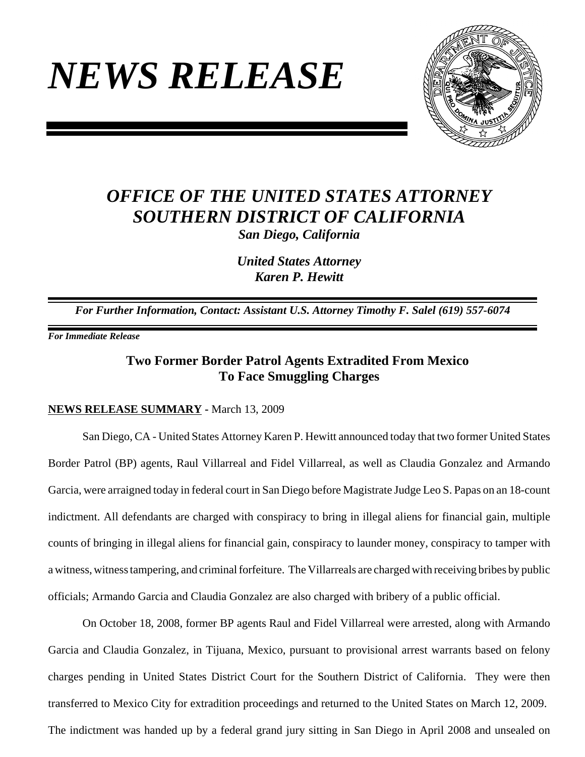# *NEWS RELEASE*



# *OFFICE OF THE UNITED STATES ATTORNEY SOUTHERN DISTRICT OF CALIFORNIA*

*San Diego, California*

*United States Attorney Karen P. Hewitt*

*For Further Information, Contact: Assistant U.S. Attorney Timothy F. Salel (619) 557-6074* 

*For Immediate Release* 

## **Two Former Border Patrol Agents Extradited From Mexico To Face Smuggling Charges**

### **NEWS RELEASE SUMMARY -** March 13, 2009

San Diego, CA - United States Attorney Karen P. Hewitt announced today that two former United States Border Patrol (BP) agents, Raul Villarreal and Fidel Villarreal, as well as Claudia Gonzalez and Armando Garcia, were arraigned today in federal court in San Diego before Magistrate Judge Leo S. Papas on an 18-count indictment. All defendants are charged with conspiracy to bring in illegal aliens for financial gain, multiple counts of bringing in illegal aliens for financial gain, conspiracy to launder money, conspiracy to tamper with a witness, witness tampering, and criminal forfeiture. The Villarreals are charged with receiving bribes by public officials; Armando Garcia and Claudia Gonzalez are also charged with bribery of a public official.

On October 18, 2008, former BP agents Raul and Fidel Villarreal were arrested, along with Armando Garcia and Claudia Gonzalez, in Tijuana, Mexico, pursuant to provisional arrest warrants based on felony charges pending in United States District Court for the Southern District of California. They were then transferred to Mexico City for extradition proceedings and returned to the United States on March 12, 2009. The indictment was handed up by a federal grand jury sitting in San Diego in April 2008 and unsealed on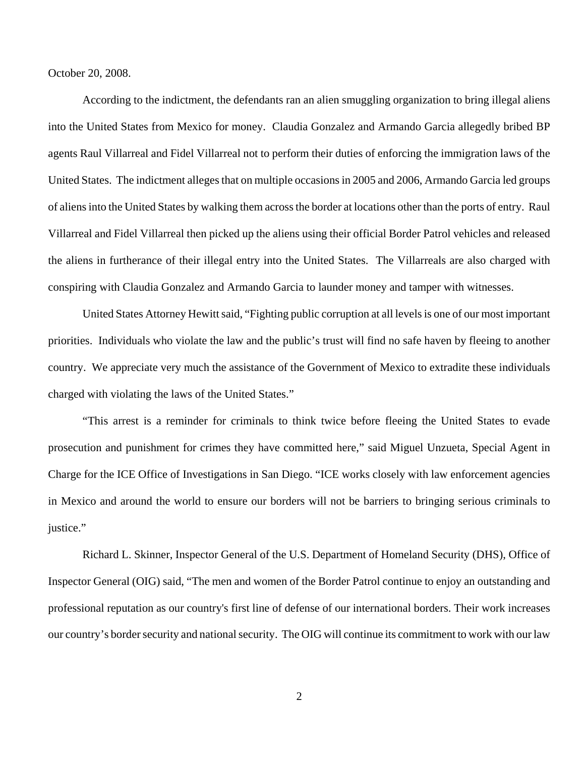October 20, 2008.

According to the indictment, the defendants ran an alien smuggling organization to bring illegal aliens into the United States from Mexico for money. Claudia Gonzalez and Armando Garcia allegedly bribed BP agents Raul Villarreal and Fidel Villarreal not to perform their duties of enforcing the immigration laws of the United States. The indictment alleges that on multiple occasions in 2005 and 2006, Armando Garcia led groups of aliens into the United States by walking them across the border at locations other than the ports of entry. Raul Villarreal and Fidel Villarreal then picked up the aliens using their official Border Patrol vehicles and released the aliens in furtherance of their illegal entry into the United States. The Villarreals are also charged with conspiring with Claudia Gonzalez and Armando Garcia to launder money and tamper with witnesses.

United States Attorney Hewitt said, "Fighting public corruption at all levels is one of our most important priorities. Individuals who violate the law and the public's trust will find no safe haven by fleeing to another country. We appreciate very much the assistance of the Government of Mexico to extradite these individuals charged with violating the laws of the United States."

"This arrest is a reminder for criminals to think twice before fleeing the United States to evade prosecution and punishment for crimes they have committed here," said Miguel Unzueta, Special Agent in Charge for the ICE Office of Investigations in San Diego. "ICE works closely with law enforcement agencies in Mexico and around the world to ensure our borders will not be barriers to bringing serious criminals to justice."

Richard L. Skinner, Inspector General of the U.S. Department of Homeland Security (DHS), Office of Inspector General (OIG) said, "The men and women of the Border Patrol continue to enjoy an outstanding and professional reputation as our country's first line of defense of our international borders. Their work increases our country's border security and national security. The OIG will continue its commitment to work with our law